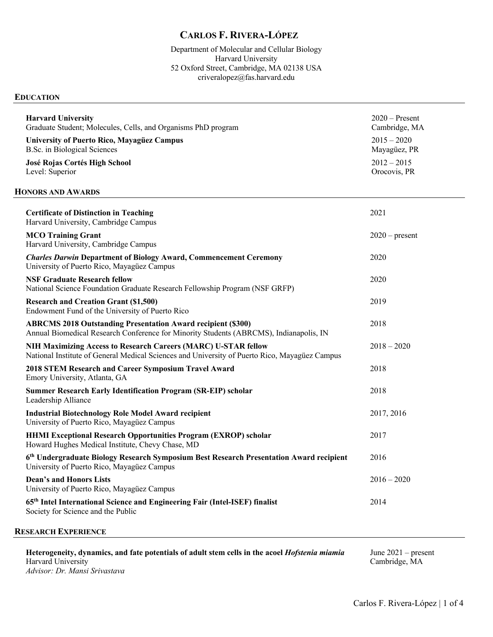# **CARLOS F. RIVERA-LÓPEZ**

Department of Molecular and Cellular Biology Harvard University 52 Oxford Street, Cambridge, MA 02138 USA criveralopez@fas.harvard.edu

#### **EDUCATION**

| <b>Harvard University</b><br>Graduate Student; Molecules, Cells, and Organisms PhD program                                                                      | $2020$ – Present<br>Cambridge, MA |
|-----------------------------------------------------------------------------------------------------------------------------------------------------------------|-----------------------------------|
| <b>University of Puerto Rico, Mayagüez Campus</b><br>B.Sc. in Biological Sciences                                                                               | $2015 - 2020$<br>Mayagüez, PR     |
| José Rojas Cortés High School<br>Level: Superior                                                                                                                | $2012 - 2015$<br>Orocovis, PR     |
| <b>HONORS AND AWARDS</b>                                                                                                                                        |                                   |
| <b>Certificate of Distinction in Teaching</b><br>Harvard University, Cambridge Campus                                                                           | 2021                              |
| <b>MCO Training Grant</b><br>Harvard University, Cambridge Campus                                                                                               | $2020$ – present                  |
| <b>Charles Darwin Department of Biology Award, Commencement Ceremony</b><br>University of Puerto Rico, Mayagüez Campus                                          | 2020                              |
| <b>NSF Graduate Research fellow</b><br>National Science Foundation Graduate Research Fellowship Program (NSF GRFP)                                              | 2020                              |
| <b>Research and Creation Grant (\$1,500)</b><br>Endowment Fund of the University of Puerto Rico                                                                 | 2019                              |
| <b>ABRCMS 2018 Outstanding Presentation Award recipient (\$300)</b><br>Annual Biomedical Research Conference for Minority Students (ABRCMS), Indianapolis, IN   | 2018                              |
| NIH Maximizing Access to Research Careers (MARC) U-STAR fellow<br>National Institute of General Medical Sciences and University of Puerto Rico, Mayagüez Campus | $2018 - 2020$                     |
| 2018 STEM Research and Career Symposium Travel Award<br>Emory University, Atlanta, GA                                                                           | 2018                              |
| <b>Summer Research Early Identification Program (SR-EIP) scholar</b><br>Leadership Alliance                                                                     | 2018                              |
| <b>Industrial Biotechnology Role Model Award recipient</b><br>University of Puerto Rico, Mayagüez Campus                                                        | 2017, 2016                        |
| HHMI Exceptional Research Opportunities Program (EXROP) scholar<br>Howard Hughes Medical Institute, Chevy Chase, MD                                             | 2017                              |
| 6th Undergraduate Biology Research Symposium Best Research Presentation Award recipient<br>University of Puerto Rico, Mayagüez Campus                           | 2016                              |
| <b>Dean's and Honors Lists</b><br>University of Puerto Rico, Mayagüez Campus                                                                                    | $2016 - 2020$                     |
| 65th Intel International Science and Engineering Fair (Intel-ISEF) finalist<br>Society for Science and the Public                                               | 2014                              |
|                                                                                                                                                                 |                                   |

### **RESEARCH EXPERIENCE**

**Heterogeneity, dynamics, and fate potentials of adult stem cells in the acoel** *Hofstenia miamia* Harvard University *Advisor: Dr. Mansi Srivastava* June 2021 – present Cambridge, MA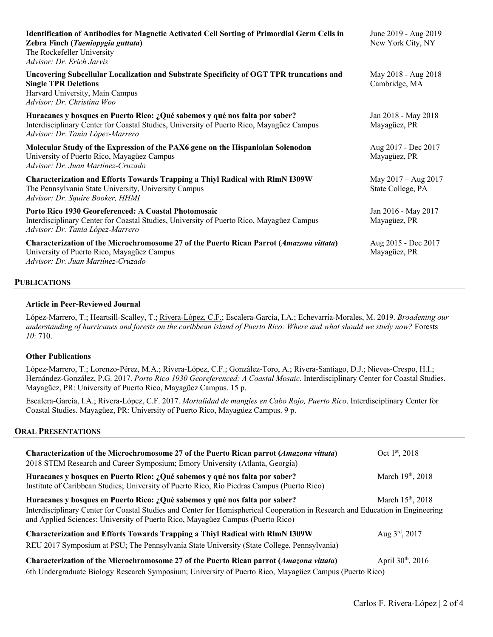| Identification of Antibodies for Magnetic Activated Cell Sorting of Primordial Germ Cells in<br>Zebra Finch (Taeniopygia guttata)<br>The Rockefeller University<br>Advisor: Dr. Erich Jarvis                | June 2019 - Aug 2019<br>New York City, NY  |
|-------------------------------------------------------------------------------------------------------------------------------------------------------------------------------------------------------------|--------------------------------------------|
| Uncovering Subcellular Localization and Substrate Specificity of OGT TPR truncations and<br><b>Single TPR Deletions</b><br>Harvard University, Main Campus<br>Advisor: Dr. Christina Woo                    | May 2018 - Aug 2018<br>Cambridge, MA       |
| Huracanes y bosques en Puerto Rico: ¿Qué sabemos y qué nos falta por saber?<br>Interdisciplinary Center for Coastal Studies, University of Puerto Rico, Mayagüez Campus<br>Advisor: Dr. Tania López-Marrero | Jan 2018 - May 2018<br>Mayagüez, PR        |
| Molecular Study of the Expression of the PAX6 gene on the Hispaniolan Solenodon<br>University of Puerto Rico, Mayagüez Campus<br>Advisor: Dr. Juan Martínez-Cruzado                                         | Aug 2017 - Dec 2017<br>Mayagüez, PR        |
| <b>Characterization and Efforts Towards Trapping a Thiyl Radical with RlmN I309W</b><br>The Pennsylvania State University, University Campus<br>Advisor: Dr. Squire Booker, HHMI                            | May $2017 - Aug 2017$<br>State College, PA |
| Porto Rico 1930 Georeferenced: A Coastal Photomosaic<br>Interdisciplinary Center for Coastal Studies, University of Puerto Rico, Mayagüez Campus<br>Advisor: Dr. Tania López-Marrero                        | Jan 2016 - May 2017<br>Mayagüez, PR        |
| Characterization of the Microchromosome 27 of the Puerto Rican Parrot (Amazona vittata)<br>University of Puerto Rico, Mayagüez Campus<br>Advisor: Dr. Juan Martínez-Cruzado                                 | Aug 2015 - Dec 2017<br>Mayagüez, PR        |

#### **PUBLICATIONS**

#### **Article in Peer-Reviewed Journal**

López-Marrero, T.; Heartsill-Scalley, T.; Rivera-López, C.F.; Escalera-García, I.A.; Echevarría-Morales, M. 2019. *Broadening our understanding of hurricanes and forests on the caribbean island of Puerto Rico: Where and what should we study now?* Forests *10*: 710.

### **Other Publications**

López-Marrero, T.; Lorenzo-Pérez, M.A.; Rivera-López, C.F.; González-Toro, A.; Rivera-Santiago, D.J.; Nieves-Crespo, H.I.; Hernández-González, P.G. 2017. *Porto Rico 1930 Georeferenced: A Coastal Mosaic*. Interdisciplinary Center for Coastal Studies. Mayagüez, PR: University of Puerto Rico, Mayagüez Campus. 15 p.

Escalera-García, I.A.; Rivera-López, C.F. 2017. *Mortalidad de mangles en Cabo Rojo, Puerto Rico*. Interdisciplinary Center for Coastal Studies. Mayagüez, PR: University of Puerto Rico, Mayagüez Campus. 9 p.

#### **ORAL PRESENTATIONS**

| Characterization of the Microchromosome 27 of the Puerto Rican parrot (Amazona vittata)<br>2018 STEM Research and Career Symposium; Emory University (Atlanta, Georgia)                                                                                                                         | Oct 1 <sup>st</sup> , 2018    |
|-------------------------------------------------------------------------------------------------------------------------------------------------------------------------------------------------------------------------------------------------------------------------------------------------|-------------------------------|
| Huracanes y bosques en Puerto Rico: ¿Qué sabemos y qué nos falta por saber?<br>Institute of Caribbean Studies; University of Puerto Rico, Río Piedras Campus (Puerto Rico)                                                                                                                      | March 19th, 2018              |
| Huracanes y bosques en Puerto Rico: ¿Qué sabemos y qué nos falta por saber?<br>Interdisciplinary Center for Coastal Studies and Center for Hemispherical Cooperation in Research and Education in Engineering<br>and Applied Sciences; University of Puerto Rico, Mayagüez Campus (Puerto Rico) | March 15 <sup>th</sup> , 2018 |
| <b>Characterization and Efforts Towards Trapping a Thiyl Radical with RlmN I309W</b><br>REU 2017 Symposium at PSU; The Pennsylvania State University (State College, Pennsylvania)                                                                                                              | Aug $3^{\text{rd}}$ , 2017    |
| Characterization of the Microchromosome 27 of the Puerto Rican parrot (Amazona vittata)<br>6th Undergraduate Biology Research Symposium; University of Puerto Rico, Mayagüez Campus (Puerto Rico)                                                                                               | April $30^{th}$ , $2016$      |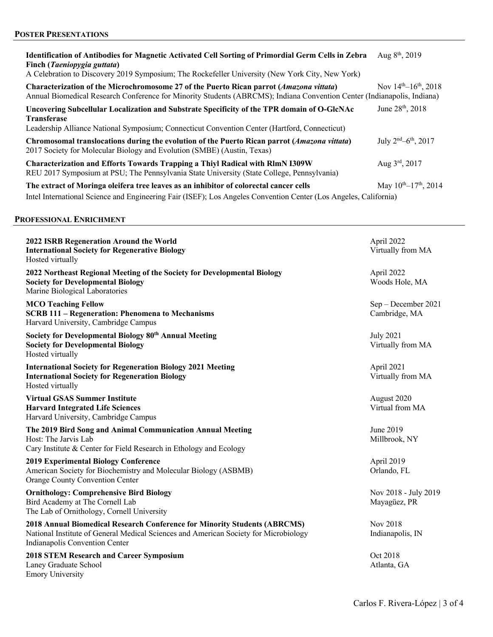| <b>Identification of Antibodies for Magnetic Activated Cell Sorting of Primordial Germ Cells in Zebra</b><br>Finch ( <i>Taeniopygia guttata</i> )<br>A Celebration to Discovery 2019 Symposium; The Rockefeller University (New York City, New York) | Aug $8^{th}$ , 2019              |
|------------------------------------------------------------------------------------------------------------------------------------------------------------------------------------------------------------------------------------------------------|----------------------------------|
| Characterization of the Microchromosome 27 of the Puerto Rican parrot (Amazona vittata)<br>Annual Biomedical Research Conference for Minority Students (ABRCMS); Indiana Convention Center (Indianapolis, Indiana)                                   | Nov $14^{th} - 16^{th}$ , 2018   |
| Uncovering Subcellular Localization and Substrate Specificity of the TPR domain of O-GlcNAc<br><b>Transferase</b><br>Leadership Alliance National Symposium; Connecticut Convention Center (Hartford, Connecticut)                                   | June 28 <sup>th</sup> , 2018     |
| Chromosomal translocations during the evolution of the Puerto Rican parrot (Amazona vittata)<br>2017 Society for Molecular Biology and Evolution (SMBE) (Austin, Texas)                                                                              | July $2nd - 6th$ , 2017          |
| <b>Characterization and Efforts Towards Trapping a Thiyl Radical with RIMN I309W</b><br>REU 2017 Symposium at PSU; The Pennsylvania State University (State College, Pennsylvania)                                                                   | Aug $3^{\text{rd}}$ , 2017       |
| The extract of Moringa oleifera tree leaves as an inhibitor of colorectal cancer cells<br>Intel International Science and Engineering Fair (ISEF); Los Angeles Convention Center (Los Angeles, California)                                           | May $10^{th}$ – $17^{th}$ , 2014 |

### **PROFESSIONAL ENRICHMENT**

| 2022 ISRB Regeneration Around the World<br><b>International Society for Regenerative Biology</b><br>Hosted virtually                                                                                       | April 2022<br>Virtually from MA       |
|------------------------------------------------------------------------------------------------------------------------------------------------------------------------------------------------------------|---------------------------------------|
| 2022 Northeast Regional Meeting of the Society for Developmental Biology<br><b>Society for Developmental Biology</b><br>Marine Biological Laboratories                                                     | April 2022<br>Woods Hole, MA          |
| <b>MCO Teaching Fellow</b><br><b>SCRB 111 - Regeneration: Phenomena to Mechanisms</b><br>Harvard University, Cambridge Campus                                                                              | Sep - December 2021<br>Cambridge, MA  |
| Society for Developmental Biology 80th Annual Meeting<br><b>Society for Developmental Biology</b><br>Hosted virtually                                                                                      | <b>July 2021</b><br>Virtually from MA |
| <b>International Society for Regeneration Biology 2021 Meeting</b><br><b>International Society for Regeneration Biology</b><br>Hosted virtually                                                            | April 2021<br>Virtually from MA       |
| <b>Virtual GSAS Summer Institute</b><br><b>Harvard Integrated Life Sciences</b><br>Harvard University, Cambridge Campus                                                                                    | August 2020<br>Virtual from MA        |
| The 2019 Bird Song and Animal Communication Annual Meeting<br>Host: The Jarvis Lab<br>Cary Institute & Center for Field Research in Ethology and Ecology                                                   | June 2019<br>Millbrook, NY            |
| <b>2019 Experimental Biology Conference</b><br>American Society for Biochemistry and Molecular Biology (ASBMB)<br>Orange County Convention Center                                                          | April 2019<br>Orlando, FL             |
| <b>Ornithology: Comprehensive Bird Biology</b><br>Bird Academy at The Cornell Lab<br>The Lab of Ornithology, Cornell University                                                                            | Nov 2018 - July 2019<br>Mayagüez, PR  |
| <b>2018 Annual Biomedical Research Conference for Minority Students (ABRCMS)</b><br>National Institute of General Medical Sciences and American Society for Microbiology<br>Indianapolis Convention Center | Nov 2018<br>Indianapolis, IN          |
| <b>2018 STEM Research and Career Symposium</b><br>Laney Graduate School<br><b>Emory University</b>                                                                                                         | Oct 2018<br>Atlanta, GA               |